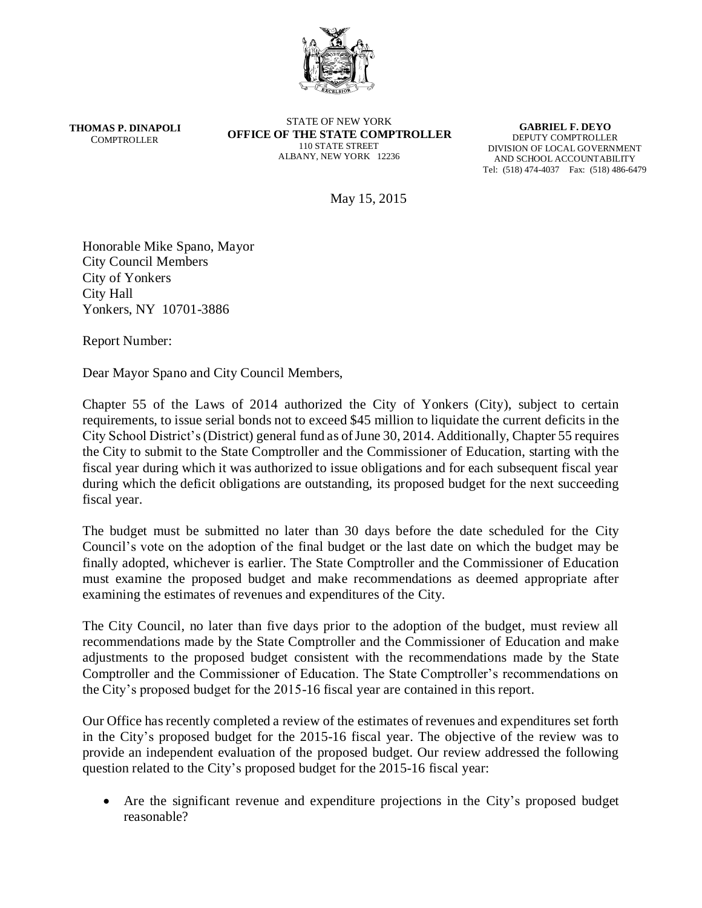

**THOMAS P. DINAPOLI COMPTROLLER** 

STATE OF NEW YORK **OFFICE OF THE STATE COMPTROLLER** 110 STATE STREET ALBANY, NEW YORK 12236

**GABRIEL F. DEYO** DEPUTY COMPTROLLER DIVISION OF LOCAL GOVERNMENT AND SCHOOL ACCOUNTABILITY Tel: (518) 474-4037 Fax: (518) 486-6479

May 15, 2015

Honorable Mike Spano, Mayor City Council Members City of Yonkers City Hall Yonkers, NY 10701-3886

Report Number:

Dear Mayor Spano and City Council Members,

Chapter 55 of the Laws of 2014 authorized the City of Yonkers (City), subject to certain requirements, to issue serial bonds not to exceed \$45 million to liquidate the current deficits in the City School District's (District) general fund as of June 30, 2014. Additionally, Chapter 55 requires the City to submit to the State Comptroller and the Commissioner of Education, starting with the fiscal year during which it was authorized to issue obligations and for each subsequent fiscal year during which the deficit obligations are outstanding, its proposed budget for the next succeeding fiscal year.

The budget must be submitted no later than 30 days before the date scheduled for the City Council's vote on the adoption of the final budget or the last date on which the budget may be finally adopted, whichever is earlier. The State Comptroller and the Commissioner of Education must examine the proposed budget and make recommendations as deemed appropriate after examining the estimates of revenues and expenditures of the City.

The City Council, no later than five days prior to the adoption of the budget, must review all recommendations made by the State Comptroller and the Commissioner of Education and make adjustments to the proposed budget consistent with the recommendations made by the State Comptroller and the Commissioner of Education. The State Comptroller's recommendations on the City's proposed budget for the 2015-16 fiscal year are contained in this report.

Our Office has recently completed a review of the estimates of revenues and expenditures set forth in the City's proposed budget for the 2015-16 fiscal year. The objective of the review was to provide an independent evaluation of the proposed budget. Our review addressed the following question related to the City's proposed budget for the 2015-16 fiscal year:

 Are the significant revenue and expenditure projections in the City's proposed budget reasonable?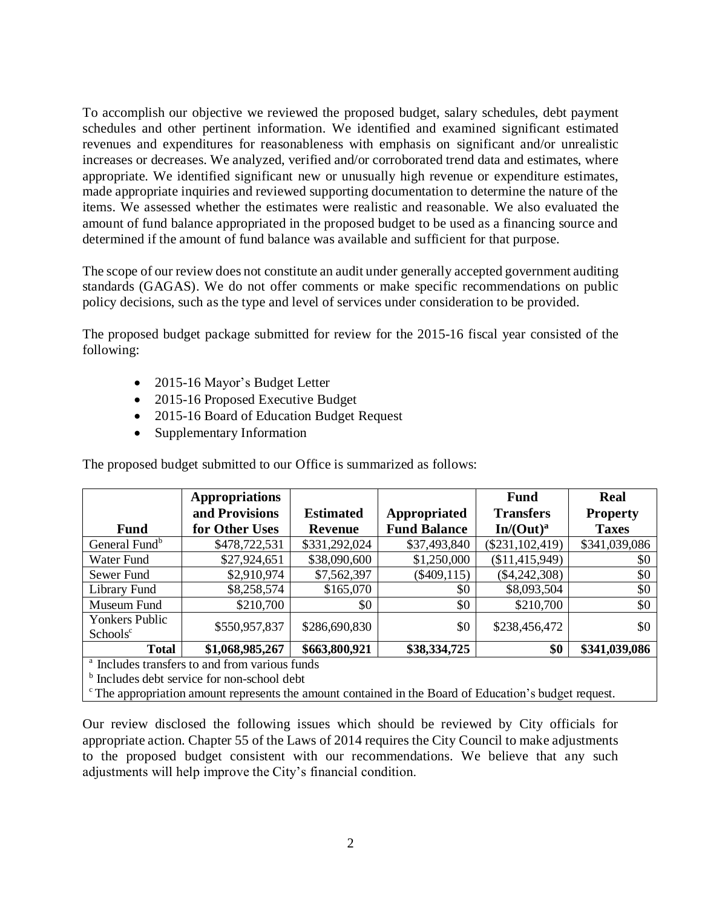To accomplish our objective we reviewed the proposed budget, salary schedules, debt payment schedules and other pertinent information. We identified and examined significant estimated revenues and expenditures for reasonableness with emphasis on significant and/or unrealistic increases or decreases. We analyzed, verified and/or corroborated trend data and estimates, where appropriate. We identified significant new or unusually high revenue or expenditure estimates, made appropriate inquiries and reviewed supporting documentation to determine the nature of the items. We assessed whether the estimates were realistic and reasonable. We also evaluated the amount of fund balance appropriated in the proposed budget to be used as a financing source and determined if the amount of fund balance was available and sufficient for that purpose.

The scope of our review does not constitute an audit under generally accepted government auditing standards (GAGAS). We do not offer comments or make specific recommendations on public policy decisions, such as the type and level of services under consideration to be provided.

The proposed budget package submitted for review for the 2015-16 fiscal year consisted of the following:

- 2015-16 Mayor's Budget Letter
- 2015-16 Proposed Executive Budget
- 2015-16 Board of Education Budget Request
- Supplementary Information

|                                                  | <b>Appropriations</b> |                  |                     | Fund                  | <b>Real</b>     |
|--------------------------------------------------|-----------------------|------------------|---------------------|-----------------------|-----------------|
|                                                  | and Provisions        | <b>Estimated</b> | Appropriated        | <b>Transfers</b>      | <b>Property</b> |
| <b>Fund</b>                                      | for Other Uses        | <b>Revenue</b>   | <b>Fund Balance</b> | In/(Out) <sup>a</sup> | <b>Taxes</b>    |
| General Fund <sup>b</sup>                        | \$478,722,531         | \$331,292,024    | \$37,493,840        | $(\$231, 102, 419)$   | \$341,039,086   |
| Water Fund                                       | \$27,924,651          | \$38,090,600     | \$1,250,000         | (\$11,415,949)        | \$0             |
| Sewer Fund                                       | \$2,910,974           | \$7,562,397      | $(\$409,115)$       | $(\$4,242,308)$       | \$0             |
| Library Fund                                     | \$8,258,574           | \$165,070        | \$0                 | \$8,093,504           | \$0             |
| Museum Fund                                      | \$210,700             | \$0              | \$0                 | \$210,700             | \$0             |
| <b>Yonkers Public</b>                            |                       |                  |                     |                       |                 |
| Schools <sup>c</sup>                             | \$550,957,837         | \$286,690,830    | \$0                 | \$238,456,472         | \$0             |
| <b>Total</b>                                     | \$1,068,985,267       | \$663,800,921    | \$38,334,725        | \$0                   | \$341,039,086   |
| $3T$ 1 1 $\cdot$ $C$ $\cdot$ 1 $C$ $\cdot$ $C$ 1 |                       |                  |                     |                       |                 |

The proposed budget submitted to our Office is summarized as follows:

Includes transfers to and from various funds

**b** Includes debt service for non-school debt

 $\textdegree$ The appropriation amount represents the amount contained in the Board of Education's budget request.

Our review disclosed the following issues which should be reviewed by City officials for appropriate action. Chapter 55 of the Laws of 2014 requires the City Council to make adjustments to the proposed budget consistent with our recommendations. We believe that any such adjustments will help improve the City's financial condition.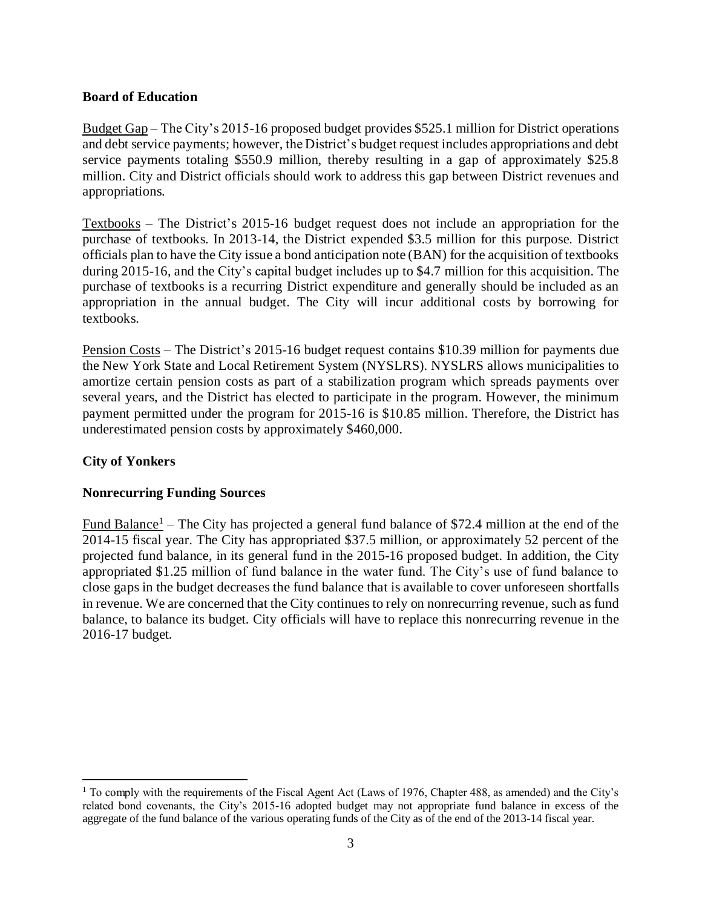### **Board of Education**

Budget Gap – The City's 2015-16 proposed budget provides \$525.1 million for District operations and debt service payments; however, the District's budget request includes appropriations and debt service payments totaling \$550.9 million, thereby resulting in a gap of approximately \$25.8 million. City and District officials should work to address this gap between District revenues and appropriations.

Textbooks – The District's 2015-16 budget request does not include an appropriation for the purchase of textbooks. In 2013-14, the District expended \$3.5 million for this purpose. District officials plan to have the City issue a bond anticipation note (BAN) for the acquisition of textbooks during 2015-16, and the City's capital budget includes up to \$4.7 million for this acquisition. The purchase of textbooks is a recurring District expenditure and generally should be included as an appropriation in the annual budget. The City will incur additional costs by borrowing for textbooks.

Pension Costs – The District's 2015-16 budget request contains \$10.39 million for payments due the New York State and Local Retirement System (NYSLRS). NYSLRS allows municipalities to amortize certain pension costs as part of a stabilization program which spreads payments over several years, and the District has elected to participate in the program. However, the minimum payment permitted under the program for 2015-16 is \$10.85 million. Therefore, the District has underestimated pension costs by approximately \$460,000.

## **City of Yonkers**

 $\overline{a}$ 

#### **Nonrecurring Funding Sources**

Fund Balance<sup>1</sup> – The City has projected a general fund balance of \$72.4 million at the end of the 2014-15 fiscal year. The City has appropriated \$37.5 million, or approximately 52 percent of the projected fund balance, in its general fund in the 2015-16 proposed budget. In addition, the City appropriated \$1.25 million of fund balance in the water fund. The City's use of fund balance to close gaps in the budget decreases the fund balance that is available to cover unforeseen shortfalls in revenue. We are concerned that the City continues to rely on nonrecurring revenue, such as fund balance, to balance its budget. City officials will have to replace this nonrecurring revenue in the 2016-17 budget.

<sup>1</sup> To comply with the requirements of the Fiscal Agent Act (Laws of 1976, Chapter 488, as amended) and the City's related bond covenants, the City's 2015-16 adopted budget may not appropriate fund balance in excess of the aggregate of the fund balance of the various operating funds of the City as of the end of the 2013-14 fiscal year.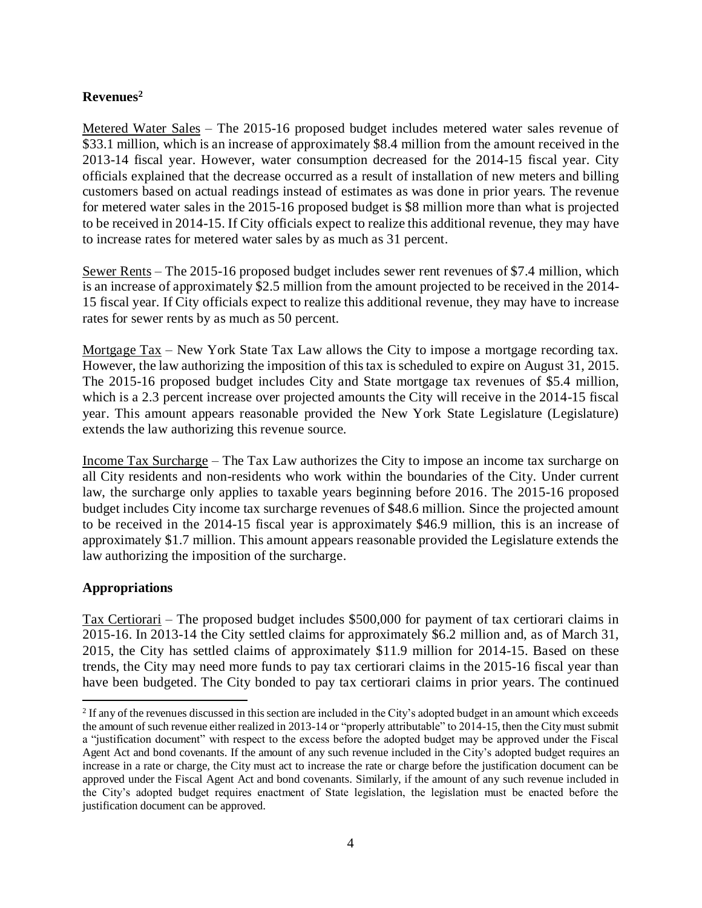# **Revenues<sup>2</sup>**

Metered Water Sales – The 2015-16 proposed budget includes metered water sales revenue of \$33.1 million, which is an increase of approximately \$8.4 million from the amount received in the 2013-14 fiscal year. However, water consumption decreased for the 2014-15 fiscal year. City officials explained that the decrease occurred as a result of installation of new meters and billing customers based on actual readings instead of estimates as was done in prior years. The revenue for metered water sales in the 2015-16 proposed budget is \$8 million more than what is projected to be received in 2014-15. If City officials expect to realize this additional revenue, they may have to increase rates for metered water sales by as much as 31 percent.

Sewer Rents – The 2015-16 proposed budget includes sewer rent revenues of \$7.4 million, which is an increase of approximately \$2.5 million from the amount projected to be received in the 2014- 15 fiscal year. If City officials expect to realize this additional revenue, they may have to increase rates for sewer rents by as much as 50 percent.

Mortgage Tax – New York State Tax Law allows the City to impose a mortgage recording tax. However, the law authorizing the imposition of this tax is scheduled to expire on August 31, 2015. The 2015-16 proposed budget includes City and State mortgage tax revenues of \$5.4 million, which is a 2.3 percent increase over projected amounts the City will receive in the 2014-15 fiscal year. This amount appears reasonable provided the New York State Legislature (Legislature) extends the law authorizing this revenue source.

Income Tax Surcharge – The Tax Law authorizes the City to impose an income tax surcharge on all City residents and non-residents who work within the boundaries of the City. Under current law, the surcharge only applies to taxable years beginning before 2016. The 2015-16 proposed budget includes City income tax surcharge revenues of \$48.6 million. Since the projected amount to be received in the 2014-15 fiscal year is approximately \$46.9 million, this is an increase of approximately \$1.7 million. This amount appears reasonable provided the Legislature extends the law authorizing the imposition of the surcharge.

# **Appropriations**

Tax Certiorari – The proposed budget includes \$500,000 for payment of tax certiorari claims in 2015-16. In 2013-14 the City settled claims for approximately \$6.2 million and, as of March 31, 2015, the City has settled claims of approximately \$11.9 million for 2014-15. Based on these trends, the City may need more funds to pay tax certiorari claims in the 2015-16 fiscal year than have been budgeted. The City bonded to pay tax certiorari claims in prior years. The continued

<sup>&</sup>lt;sup>2</sup> If any of the revenues discussed in this section are included in the City's adopted budget in an amount which exceeds the amount of such revenue either realized in 2013-14 or "properly attributable" to 2014-15, then the City must submit a "justification document" with respect to the excess before the adopted budget may be approved under the Fiscal Agent Act and bond covenants. If the amount of any such revenue included in the City's adopted budget requires an increase in a rate or charge, the City must act to increase the rate or charge before the justification document can be approved under the Fiscal Agent Act and bond covenants. Similarly, if the amount of any such revenue included in the City's adopted budget requires enactment of State legislation, the legislation must be enacted before the justification document can be approved.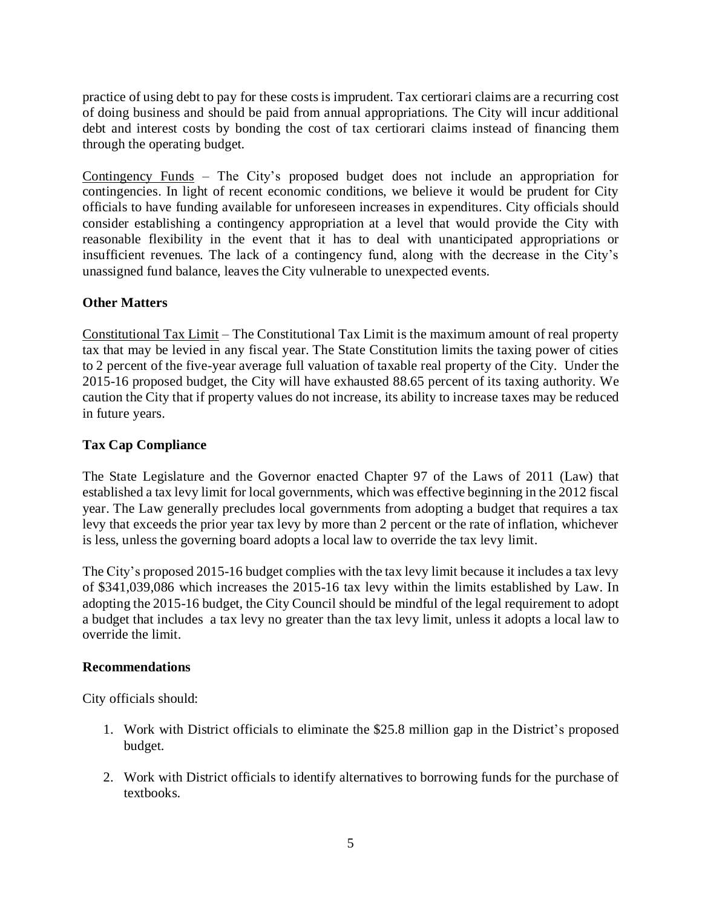practice of using debt to pay for these costs is imprudent. Tax certiorari claims are a recurring cost of doing business and should be paid from annual appropriations. The City will incur additional debt and interest costs by bonding the cost of tax certiorari claims instead of financing them through the operating budget.

Contingency Funds – The City's proposed budget does not include an appropriation for contingencies. In light of recent economic conditions, we believe it would be prudent for City officials to have funding available for unforeseen increases in expenditures. City officials should consider establishing a contingency appropriation at a level that would provide the City with reasonable flexibility in the event that it has to deal with unanticipated appropriations or insufficient revenues. The lack of a contingency fund, along with the decrease in the City's unassigned fund balance, leaves the City vulnerable to unexpected events.

### **Other Matters**

Constitutional Tax Limit – The Constitutional Tax Limit is the maximum amount of real property tax that may be levied in any fiscal year. The State Constitution limits the taxing power of cities to 2 percent of the five-year average full valuation of taxable real property of the City. Under the 2015-16 proposed budget, the City will have exhausted 88.65 percent of its taxing authority. We caution the City that if property values do not increase, its ability to increase taxes may be reduced in future years.

### **Tax Cap Compliance**

The State Legislature and the Governor enacted Chapter 97 of the Laws of 2011 (Law) that established a tax levy limit for local governments, which was effective beginning in the 2012 fiscal year. The Law generally precludes local governments from adopting a budget that requires a tax levy that exceeds the prior year tax levy by more than 2 percent or the rate of inflation, whichever is less, unless the governing board adopts a local law to override the tax levy limit.

The City's proposed 2015-16 budget complies with the tax levy limit because it includes a tax levy of \$341,039,086 which increases the 2015-16 tax levy within the limits established by Law. In adopting the 2015-16 budget, the City Council should be mindful of the legal requirement to adopt a budget that includes a tax levy no greater than the tax levy limit, unless it adopts a local law to override the limit.

#### **Recommendations**

City officials should:

- 1. Work with District officials to eliminate the \$25.8 million gap in the District's proposed budget.
- 2. Work with District officials to identify alternatives to borrowing funds for the purchase of textbooks.